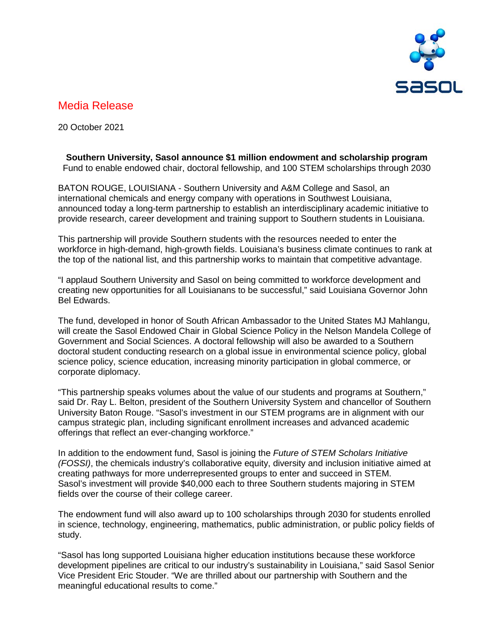

# Media Release

20 October 2021

# **Southern University, Sasol announce \$1 million endowment and scholarship program** Fund to enable endowed chair, doctoral fellowship, and 100 STEM scholarships through 2030

BATON ROUGE, LOUISIANA - Southern University and A&M College and Sasol, an international chemicals and energy company with operations in Southwest Louisiana, announced today a long-term partnership to establish an interdisciplinary academic initiative to provide research, career development and training support to Southern students in Louisiana.

This partnership will provide Southern students with the resources needed to enter the workforce in high-demand, high-growth fields. Louisiana's business climate continues to rank at the top of the national list, and this partnership works to maintain that competitive advantage.

"I applaud Southern University and Sasol on being committed to workforce development and creating new opportunities for all Louisianans to be successful," said Louisiana Governor John Bel Edwards.

The fund, developed in honor of South African Ambassador to the United States MJ Mahlangu, will create the Sasol Endowed Chair in Global Science Policy in the Nelson Mandela College of Government and Social Sciences. A doctoral fellowship will also be awarded to a Southern doctoral student conducting research on a global issue in environmental science policy, global science policy, science education, increasing minority participation in global commerce, or corporate diplomacy.

"This partnership speaks volumes about the value of our students and programs at Southern," said Dr. Ray L. Belton, president of the Southern University System and chancellor of Southern University Baton Rouge. "Sasol's investment in our STEM programs are in alignment with our campus strategic plan, including significant enrollment increases and advanced academic offerings that reflect an ever-changing workforce."

In addition to the endowment fund, Sasol is joining the *Future of STEM Scholars Initiative (FOSSI)*, the chemicals industry's collaborative equity, diversity and inclusion initiative aimed at creating pathways for more underrepresented groups to enter and succeed in STEM. Sasol's investment will provide \$40,000 each to three Southern students majoring in STEM fields over the course of their college career.

The endowment fund will also award up to 100 scholarships through 2030 for students enrolled in science, technology, engineering, mathematics, public administration, or public policy fields of study.

"Sasol has long supported Louisiana higher education institutions because these workforce development pipelines are critical to our industry's sustainability in Louisiana," said Sasol Senior Vice President Eric Stouder. "We are thrilled about our partnership with Southern and the meaningful educational results to come."